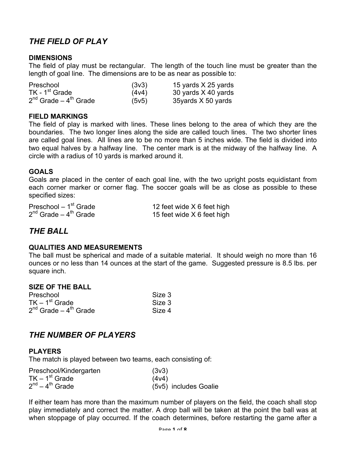# *THE FIELD OF PLAY*

### **DIMENSIONS**

The field of play must be rectangular. The length of the touch line must be greater than the length of goal line. The dimensions are to be as near as possible to:

| Preschool                       | (3v3) | 15 yards X 25 yards |
|---------------------------------|-------|---------------------|
| $TK - 1st$ Grade                | (4v4) | 30 yards X 40 yards |
| $2^{nd}$ Grade – $4^{th}$ Grade | (5v5) | 35yards X 50 yards  |

### **FIELD MARKINGS**

The field of play is marked with lines. These lines belong to the area of which they are the boundaries. The two longer lines along the side are called touch lines. The two shorter lines are called goal lines. All lines are to be no more than 5 inches wide. The field is divided into two equal halves by a halfway line. The center mark is at the midway of the halfway line. A circle with a radius of 10 yards is marked around it.

### **GOALS**

Goals are placed in the center of each goal line, with the two upright posts equidistant from each corner marker or corner flag. The soccer goals will be as close as possible to these specified sizes:

Preschool –  $1^{st}$  Grade 12 feet wide X 6 feet high  $2^{nd}$  Grade –  $4^{th}$  Grade 15 feet wide X 6 feet high

## *THE BALL*

#### **QUALITIES AND MEASUREMENTS**

The ball must be spherical and made of a suitable material. It should weigh no more than 16 ounces or no less than 14 ounces at the start of the game. Suggested pressure is 8.5 lbs. per square inch.

### **SIZE OF THE BALL**

| Preschool                      | Size 3 |
|--------------------------------|--------|
| $TK - 1st$ Grade               | Size 3 |
| $2^{nd}$ Grade $-4^{th}$ Grade | Size 4 |

## *THE NUMBER OF PLAYERS*

### **PLAYERS**

The match is played between two teams, each consisting of:

| Preschool/Kindergarten  | (3v3)                 |
|-------------------------|-----------------------|
| $TK - 1st$ Grade        | (4v4)                 |
| $2^{nd} - 4^{th}$ Grade | (5v5) includes Goalie |

If either team has more than the maximum number of players on the field, the coach shall stop play immediately and correct the matter. A drop ball will be taken at the point the ball was at when stoppage of play occurred. If the coach determines, before restarting the game after a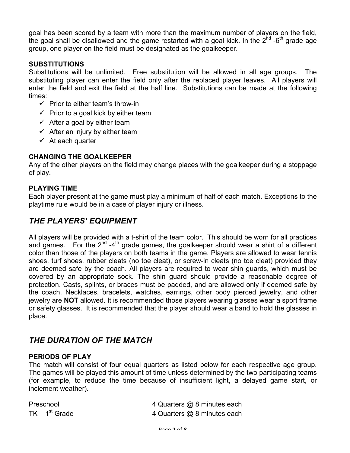goal has been scored by a team with more than the maximum number of players on the field, the goal shall be disallowed and the game restarted with a goal kick. In the  $2^{nd}$  -6<sup>th</sup> grade age group, one player on the field must be designated as the goalkeeper.

## **SUBSTITUTIONS**

Substitutions will be unlimited. Free substitution will be allowed in all age groups. The substituting player can enter the field only after the replaced player leaves. All players will enter the field and exit the field at the half line. Substitutions can be made at the following times:

- $\checkmark$  Prior to either team's throw-in
- $\checkmark$  Prior to a goal kick by either team
- $\checkmark$  After a goal by either team
- $\checkmark$  After an injury by either team
- $\checkmark$  At each quarter

## **CHANGING THE GOALKEEPER**

Any of the other players on the field may change places with the goalkeeper during a stoppage of play.

## **PLAYING TIME**

Each player present at the game must play a minimum of half of each match. Exceptions to the playtime rule would be in a case of player injury or illness.

# *THE PLAYERS' EQUIPMENT*

All players will be provided with a t-shirt of the team color. This should be worn for all practices and games. For the 2<sup>nd</sup> -4<sup>th</sup> grade games, the goalkeeper should wear a shirt of a different color than those of the players on both teams in the game. Players are allowed to wear tennis shoes, turf shoes, rubber cleats (no toe cleat), or screw-in cleats (no toe cleat) provided they are deemed safe by the coach. All players are required to wear shin guards, which must be covered by an appropriate sock. The shin guard should provide a reasonable degree of protection. Casts, splints, or braces must be padded, and are allowed only if deemed safe by the coach. Necklaces, bracelets, watches, earrings, other body pierced jewelry, and other jewelry are **NOT** allowed. It is recommended those players wearing glasses wear a sport frame or safety glasses. It is recommended that the player should wear a band to hold the glasses in place.

# *THE DURATION OF THE MATCH*

## **PERIODS OF PLAY**

The match will consist of four equal quarters as listed below for each respective age group. The games will be played this amount of time unless determined by the two participating teams (for example, to reduce the time because of insufficient light, a delayed game start, or inclement weather).

| Preschool        | 4 Quarters @ 8 minutes each |
|------------------|-----------------------------|
| $TK - 1st$ Grade | 4 Quarters @ 8 minutes each |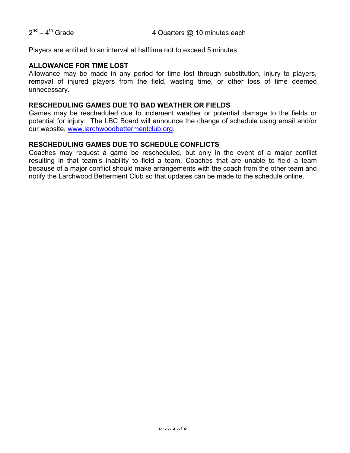Players are entitled to an interval at halftime not to exceed 5 minutes.

### **ALLOWANCE FOR TIME LOST**

Allowance may be made in any period for time lost through substitution, injury to players, removal of injured players from the field, wasting time, or other loss of time deemed unnecessary.

### **RESCHEDULING GAMES DUE TO BAD WEATHER OR FIELDS**

Games may be rescheduled due to inclement weather or potential damage to the fields or potential for injury. The LBC Board will announce the change of schedule using email and/or our website, www.larchwoodbettermentclub.org.

### **RESCHEDULING GAMES DUE TO SCHEDULE CONFLICTS**

Coaches may request a game be rescheduled, but only in the event of a major conflict resulting in that team's inability to field a team. Coaches that are unable to field a team because of a major conflict should make arrangements with the coach from the other team and notify the Larchwood Betterment Club so that updates can be made to the schedule online.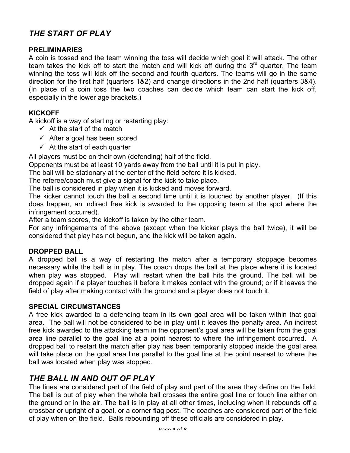# *THE START OF PLAY*

### **PRELIMINARIES**

A coin is tossed and the team winning the toss will decide which goal it will attack. The other team takes the kick off to start the match and will kick off during the  $3<sup>rd</sup>$  quarter. The team winning the toss will kick off the second and fourth quarters. The teams will go in the same direction for the first half (quarters 1&2) and change directions in the 2nd half (quarters 3&4). (In place of a coin toss the two coaches can decide which team can start the kick off, especially in the lower age brackets.)

## **KICKOFF**

A kickoff is a way of starting or restarting play:

- $\checkmark$  At the start of the match
- $\checkmark$  After a goal has been scored
- $\checkmark$  At the start of each quarter

All players must be on their own (defending) half of the field.

Opponents must be at least 10 yards away from the ball until it is put in play.

The ball will be stationary at the center of the field before it is kicked.

The referee/coach must give a signal for the kick to take place.

The ball is considered in play when it is kicked and moves forward.

The kicker cannot touch the ball a second time until it is touched by another player. (If this does happen, an indirect free kick is awarded to the opposing team at the spot where the infringement occurred).

After a team scores, the kickoff is taken by the other team.

For any infringements of the above (except when the kicker plays the ball twice), it will be considered that play has not begun, and the kick will be taken again.

## **DROPPED BALL**

A dropped ball is a way of restarting the match after a temporary stoppage becomes necessary while the ball is in play. The coach drops the ball at the place where it is located when play was stopped. Play will restart when the ball hits the ground. The ball will be dropped again if a player touches it before it makes contact with the ground; or if it leaves the field of play after making contact with the ground and a player does not touch it.

## **SPECIAL CIRCUMSTANCES**

A free kick awarded to a defending team in its own goal area will be taken within that goal area. The ball will not be considered to be in play until it leaves the penalty area. An indirect free kick awarded to the attacking team in the opponent's goal area will be taken from the goal area line parallel to the goal line at a point nearest to where the infringement occurred. A dropped ball to restart the match after play has been temporarily stopped inside the goal area will take place on the goal area line parallel to the goal line at the point nearest to where the ball was located when play was stopped.

# *THE BALL IN AND OUT OF PLAY*

The lines are considered part of the field of play and part of the area they define on the field. The ball is out of play when the whole ball crosses the entire goal line or touch line either on the ground or in the air. The ball is in play at all other times, including when it rebounds off a crossbar or upright of a goal, or a corner flag post. The coaches are considered part of the field of play when on the field. Balls rebounding off these officials are considered in play.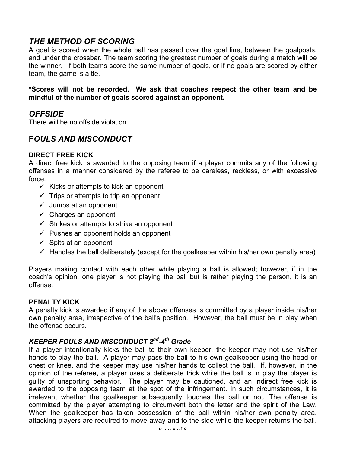# *THE METHOD OF SCORING*

A goal is scored when the whole ball has passed over the goal line, between the goalposts, and under the crossbar. The team scoring the greatest number of goals during a match will be the winner. If both teams score the same number of goals, or if no goals are scored by either team, the game is a tie.

**\*Scores will not be recorded. We ask that coaches respect the other team and be mindful of the number of goals scored against an opponent.** 

# *OFFSIDE*

There will be no offside violation. .

# **F***OULS AND MISCONDUCT*

### **DIRECT FREE KICK**

A direct free kick is awarded to the opposing team if a player commits any of the following offenses in a manner considered by the referee to be careless, reckless, or with excessive force.

- $\checkmark$  Kicks or attempts to kick an opponent
- $\checkmark$  Trips or attempts to trip an opponent
- $\checkmark$  Jumps at an opponent
- $\checkmark$  Charges an opponent
- $\checkmark$  Strikes or attempts to strike an opponent
- $\checkmark$  Pushes an opponent holds an opponent
- $\checkmark$  Spits at an opponent
- $\checkmark$  Handles the ball deliberately (except for the goalkeeper within his/her own penalty area)

Players making contact with each other while playing a ball is allowed; however, if in the coach's opinion, one player is not playing the ball but is rather playing the person, it is an offense.

### **PENALTY KICK**

A penalty kick is awarded if any of the above offenses is committed by a player inside his/her own penalty area, irrespective of the ball's position. However, the ball must be in play when the offense occurs.

## *KEEPER FOULS AND MISCONDUCT 2nd-4th Grade*

If a player intentionally kicks the ball to their own keeper, the keeper may not use his/her hands to play the ball. A player may pass the ball to his own goalkeeper using the head or chest or knee, and the keeper may use his/her hands to collect the ball. If, however, in the opinion of the referee, a player uses a deliberate trick while the ball is in play the player is guilty of unsporting behavior. The player may be cautioned, and an indirect free kick is awarded to the opposing team at the spot of the infringement. In such circumstances, it is irrelevant whether the goalkeeper subsequently touches the ball or not. The offense is committed by the player attempting to circumvent both the letter and the spirit of the Law. When the goalkeeper has taken possession of the ball within his/her own penalty area, attacking players are required to move away and to the side while the keeper returns the ball.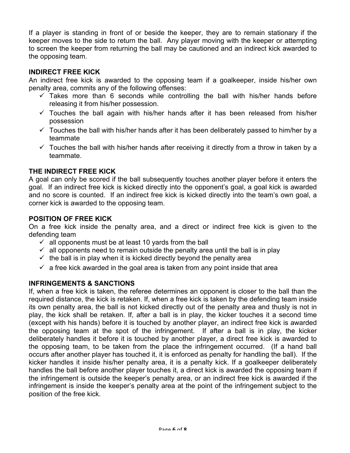If a player is standing in front of or beside the keeper, they are to remain stationary if the keeper moves to the side to return the ball. Any player moving with the keeper or attempting to screen the keeper from returning the ball may be cautioned and an indirect kick awarded to the opposing team.

## **INDIRECT FREE KICK**

An indirect free kick is awarded to the opposing team if a goalkeeper, inside his/her own penalty area, commits any of the following offenses:

- $\checkmark$  Takes more than 6 seconds while controlling the ball with his/her hands before releasing it from his/her possession.
- $\checkmark$  Touches the ball again with his/her hands after it has been released from his/her possession
- $\checkmark$  Touches the ball with his/her hands after it has been deliberately passed to him/her by a teammate
- $\checkmark$  Touches the ball with his/her hands after receiving it directly from a throw in taken by a teammate.

## **THE INDIRECT FREE KICK**

A goal can only be scored if the ball subsequently touches another player before it enters the goal. If an indirect free kick is kicked directly into the opponent's goal, a goal kick is awarded and no score is counted. If an indirect free kick is kicked directly into the team's own goal, a corner kick is awarded to the opposing team.

### **POSITION OF FREE KICK**

On a free kick inside the penalty area, and a direct or indirect free kick is given to the defending team

- $\checkmark$  all opponents must be at least 10 yards from the ball
- $\checkmark$  all opponents need to remain outside the penalty area until the ball is in play
- $\checkmark$  the ball is in play when it is kicked directly beyond the penalty area
- $\checkmark$  a free kick awarded in the goal area is taken from any point inside that area

## **INFRINGEMENTS & SANCTIONS**

If, when a free kick is taken, the referee determines an opponent is closer to the ball than the required distance, the kick is retaken. If, when a free kick is taken by the defending team inside its own penalty area, the ball is not kicked directly out of the penalty area and thusly is not in play, the kick shall be retaken. If, after a ball is in play, the kicker touches it a second time (except with his hands) before it is touched by another player, an indirect free kick is awarded the opposing team at the spot of the infringement. If after a ball is in play, the kicker deliberately handles it before it is touched by another player, a direct free kick is awarded to the opposing team, to be taken from the place the infringement occurred. (If a hand ball occurs after another player has touched it, it is enforced as penalty for handling the ball). If the kicker handles it inside his/her penalty area, it is a penalty kick. If a goalkeeper deliberately handles the ball before another player touches it, a direct kick is awarded the opposing team if the infringement is outside the keeper's penalty area, or an indirect free kick is awarded if the infringement is inside the keeper's penalty area at the point of the infringement subject to the position of the free kick.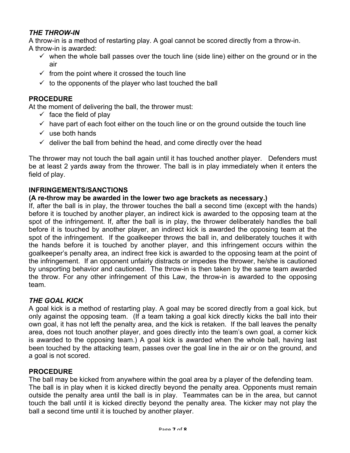## *THE THROW-IN*

A throw-in is a method of restarting play. A goal cannot be scored directly from a throw-in.

- A throw-in is awarded:
	- $\checkmark$  when the whole ball passes over the touch line (side line) either on the ground or in the air
	- $\checkmark$  from the point where it crossed the touch line
	- $\checkmark$  to the opponents of the player who last touched the ball

## **PROCEDURE**

At the moment of delivering the ball, the thrower must:

- $\checkmark$  face the field of play
- $\checkmark$  have part of each foot either on the touch line or on the ground outside the touch line
- $\checkmark$  use both hands
- $\checkmark$  deliver the ball from behind the head, and come directly over the head

The thrower may not touch the ball again until it has touched another player. Defenders must be at least 2 yards away from the thrower. The ball is in play immediately when it enters the field of play.

### **INFRINGEMENTS/SANCTIONS**

### **(A re-throw may be awarded in the lower two age brackets as necessary.)**

If, after the ball is in play, the thrower touches the ball a second time (except with the hands) before it is touched by another player, an indirect kick is awarded to the opposing team at the spot of the infringement. If, after the ball is in play, the thrower deliberately handles the ball before it is touched by another player, an indirect kick is awarded the opposing team at the spot of the infringement. If the goalkeeper throws the ball in, and deliberately touches it with the hands before it is touched by another player, and this infringement occurs within the goalkeeper's penalty area, an indirect free kick is awarded to the opposing team at the point of the infringement. If an opponent unfairly distracts or impedes the thrower, he/she is cautioned by unsporting behavior and cautioned. The throw-in is then taken by the same team awarded the throw. For any other infringement of this Law, the throw-in is awarded to the opposing team.

## *THE GOAL KICK*

A goal kick is a method of restarting play. A goal may be scored directly from a goal kick, but only against the opposing team. (If a team taking a goal kick directly kicks the ball into their own goal, it has not left the penalty area, and the kick is retaken. If the ball leaves the penalty area, does not touch another player, and goes directly into the team's own goal, a corner kick is awarded to the opposing team.) A goal kick is awarded when the whole ball, having last been touched by the attacking team, passes over the goal line in the air or on the ground, and a goal is not scored.

## **PROCEDURE**

The ball may be kicked from anywhere within the goal area by a player of the defending team. The ball is in play when it is kicked directly beyond the penalty area. Opponents must remain outside the penalty area until the ball is in play. Teammates can be in the area, but cannot touch the ball until it is kicked directly beyond the penalty area. The kicker may not play the ball a second time until it is touched by another player.